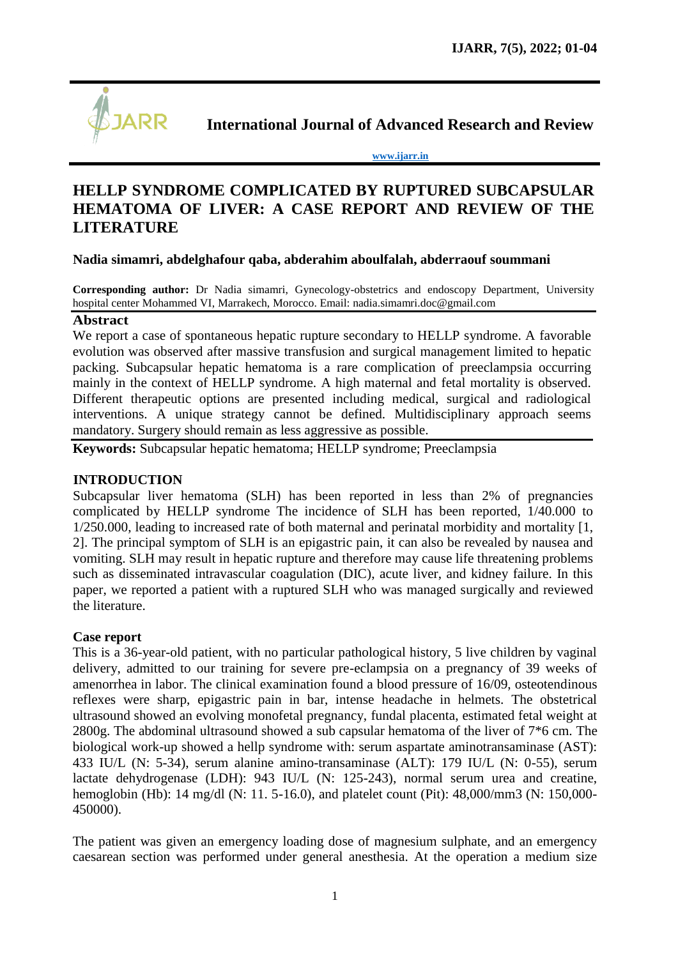

**International Journal of Advanced Research and Review**

**[www.ijarr.in](http://www.ijarr.in/)**

# **HELLP SYNDROME COMPLICATED BY RUPTURED SUBCAPSULAR HEMATOMA OF LIVER: A CASE REPORT AND REVIEW OF THE LITERATURE**

### **Nadia simamri, abdelghafour qaba, abderahim aboulfalah, abderraouf soummani**

**Corresponding author:** Dr Nadia simamri, Gynecology-obstetrics and endoscopy Department, University hospital center Mohammed VI, Marrakech, Morocco. Email: [nadia.simamri.doc@gmail.com](mailto:nadia.simamri.doc@gmail.com)

### **Abstract**

We report a case of spontaneous hepatic rupture secondary to HELLP syndrome. A favorable evolution was observed after massive transfusion and surgical management limited to hepatic packing. Subcapsular hepatic hematoma is a rare complication of preeclampsia occurring mainly in the context of HELLP syndrome. A high maternal and fetal mortality is observed. Different therapeutic options are presented including medical, surgical and radiological interventions. A unique strategy cannot be defined. Multidisciplinary approach seems mandatory. Surgery should remain as less aggressive as possible.

**Keywords:** Subcapsular hepatic hematoma; HELLP syndrome; Preeclampsia

### **INTRODUCTION**

Subcapsular liver hematoma (SLH) has been reported in less than 2% of pregnancies complicated by HELLP syndrome The incidence of SLH has been reported, 1/40.000 to 1/250.000, leading to increased rate of both maternal and perinatal morbidity and mortality [1, 2]. The principal symptom of SLH is an epigastric pain, it can also be revealed by nausea and vomiting. SLH may result in hepatic rupture and therefore may cause life threatening problems such as disseminated intravascular coagulation (DIC), acute liver, and kidney failure. In this paper, we reported a patient with a ruptured SLH who was managed surgically and reviewed the literature.

### **Case report**

This is a 36-year-old patient, with no particular pathological history, 5 live children by vaginal delivery, admitted to our training for severe pre-eclampsia on a pregnancy of 39 weeks of amenorrhea in labor. The clinical examination found a blood pressure of 16/09, osteotendinous reflexes were sharp, epigastric pain in bar, intense headache in helmets. The obstetrical ultrasound showed an evolving monofetal pregnancy, fundal placenta, estimated fetal weight at 2800g. The abdominal ultrasound showed a sub capsular hematoma of the liver of 7\*6 cm. The biological work-up showed a hellp syndrome with: serum aspartate aminotransaminase (AST): 433 IU/L (N: 5-34), serum alanine amino-transaminase (ALT): 179 IU/L (N: 0-55), serum lactate dehydrogenase (LDH): 943 IU/L (N: 125-243), normal serum urea and creatine, hemoglobin (Hb): 14 mg/dl (N: 11. 5-16.0), and platelet count (Pit): 48,000/mm3 (N: 150,000- 450000).

The patient was given an emergency loading dose of magnesium sulphate, and an emergency caesarean section was performed under general anesthesia. At the operation a medium size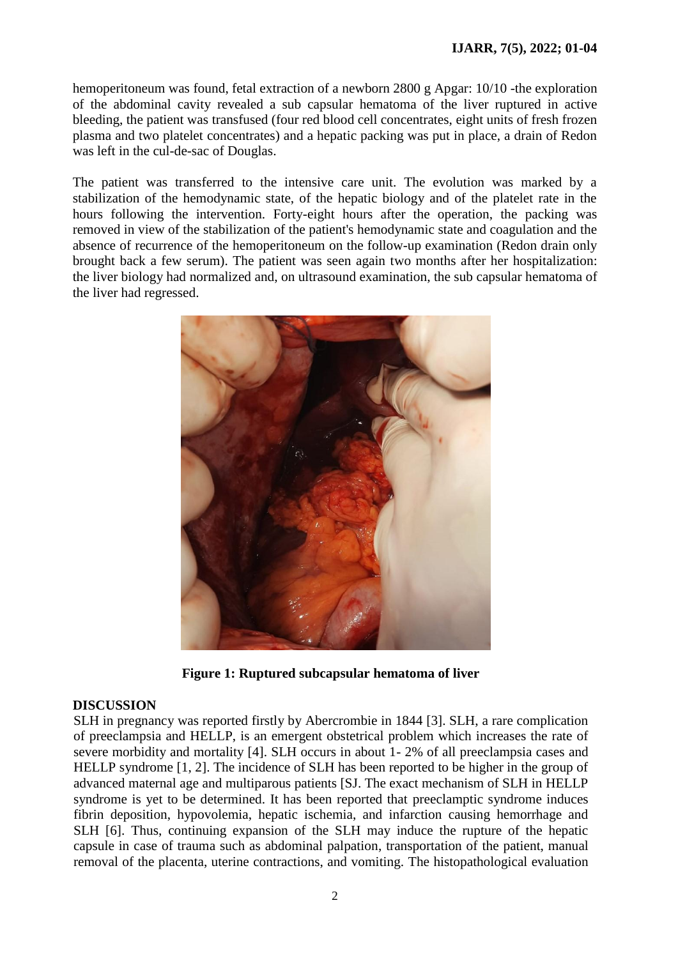hemoperitoneum was found, fetal extraction of a newborn 2800 g Apgar: 10/10 -the exploration of the abdominal cavity revealed a sub capsular hematoma of the liver ruptured in active bleeding, the patient was transfused (four red blood cell concentrates, eight units of fresh frozen plasma and two platelet concentrates) and a hepatic packing was put in place, a drain of Redon was left in the cul-de-sac of Douglas.

The patient was transferred to the intensive care unit. The evolution was marked by a stabilization of the hemodynamic state, of the hepatic biology and of the platelet rate in the hours following the intervention. Forty-eight hours after the operation, the packing was removed in view of the stabilization of the patient's hemodynamic state and coagulation and the absence of recurrence of the hemoperitoneum on the follow-up examination (Redon drain only brought back a few serum). The patient was seen again two months after her hospitalization: the liver biology had normalized and, on ultrasound examination, the sub capsular hematoma of the liver had regressed.



**Figure 1: Ruptured subcapsular hematoma of liver**

## **DISCUSSION**

SLH in pregnancy was reported firstly by Abercrombie in 1844 [3]. SLH, a rare complication of preeclampsia and HELLP, is an emergent obstetrical problem which increases the rate of severe morbidity and mortality [4]. SLH occurs in about 1- 2% of all preeclampsia cases and HELLP syndrome [1, 2]. The incidence of SLH has been reported to be higher in the group of advanced maternal age and multiparous patients [SJ. The exact mechanism of SLH in HELLP syndrome is yet to be determined. It has been reported that preeclamptic syndrome induces fibrin deposition, hypovolemia, hepatic ischemia, and infarction causing hemorrhage and SLH [6]. Thus, continuing expansion of the SLH may induce the rupture of the hepatic capsule in case of trauma such as abdominal palpation, transportation of the patient, manual removal of the placenta, uterine contractions, and vomiting. The histopathological evaluation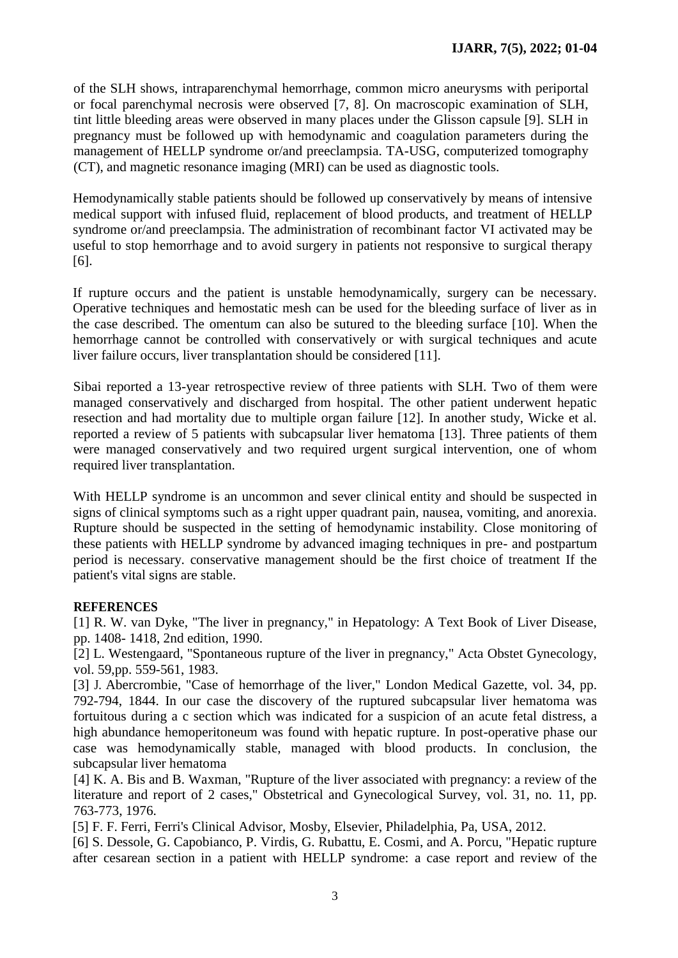of the SLH shows, intraparenchymal hemorrhage, common micro aneurysms with periportal or focal parenchymal necrosis were observed [7, 8]. On macroscopic examination of SLH, tint little bleeding areas were observed in many places under the Glisson capsule [9]. SLH in pregnancy must be followed up with hemodynamic and coagulation parameters during the management of HELLP syndrome or/and preeclampsia. TA-USG, computerized tomography (CT), and magnetic resonance imaging (MRI) can be used as diagnostic tools.

Hemodynamically stable patients should be followed up conservatively by means of intensive medical support with infused fluid, replacement of blood products, and treatment of HELLP syndrome or/and preeclampsia. The administration of recombinant factor VI activated may be useful to stop hemorrhage and to avoid surgery in patients not responsive to surgical therapy [6].

If rupture occurs and the patient is unstable hemodynamically, surgery can be necessary. Operative techniques and hemostatic mesh can be used for the bleeding surface of liver as in the case described. The omentum can also be sutured to the bleeding surface [10]. When the hemorrhage cannot be controlled with conservatively or with surgical techniques and acute liver failure occurs, liver transplantation should be considered [11].

Sibai reported a 13-year retrospective review of three patients with SLH. Two of them were managed conservatively and discharged from hospital. The other patient underwent hepatic resection and had mortality due to multiple organ failure [12]. In another study, Wicke et al. reported a review of 5 patients with subcapsular liver hematoma [13]. Three patients of them were managed conservatively and two required urgent surgical intervention, one of whom required liver transplantation.

With HELLP syndrome is an uncommon and sever clinical entity and should be suspected in signs of clinical symptoms such as a right upper quadrant pain, nausea, vomiting, and anorexia. Rupture should be suspected in the setting of hemodynamic instability. Close monitoring of these patients with HELLP syndrome by advanced imaging techniques in pre- and postpartum period is necessary. conservative management should be the first choice of treatment If the patient's vital signs are stable.

## **REFERENCES**

[1] R. W. van Dyke, "The liver in pregnancy," in Hepatology: A Text Book of Liver Disease, pp. 1408- 1418, 2nd edition, 1990.

[2] L. Westengaard, "Spontaneous rupture of the liver in pregnancy," Acta Obstet Gynecology, vol. 59,pp. 559-561, 1983.

[3] J. Abercrombie, "Case of hemorrhage of the liver," London Medical Gazette, vol. 34, pp. 792-794, 1844. In our case the discovery of the ruptured subcapsular liver hematoma was fortuitous during a c section which was indicated for a suspicion of an acute fetal distress, a high abundance hemoperitoneum was found with hepatic rupture. In post-operative phase our case was hemodynamically stable, managed with blood products. In conclusion, the subcapsular liver hematoma

[4] K. A. Bis and B. Waxman, "Rupture of the liver associated with pregnancy: a review of the literature and report of 2 cases," Obstetrical and Gynecological Survey, vol. 31, no. 11, pp. 763-773, 1976.

[5] F. F. Ferri, Ferri's Clinical Advisor, Mosby, Elsevier, Philadelphia, Pa, USA, 2012.

[6] S. Dessole, G. Capobianco, P. Virdis, G. Rubattu, E. Cosmi, and A. Porcu, "Hepatic rupture after cesarean section in a patient with HELLP syndrome: a case report and review of the